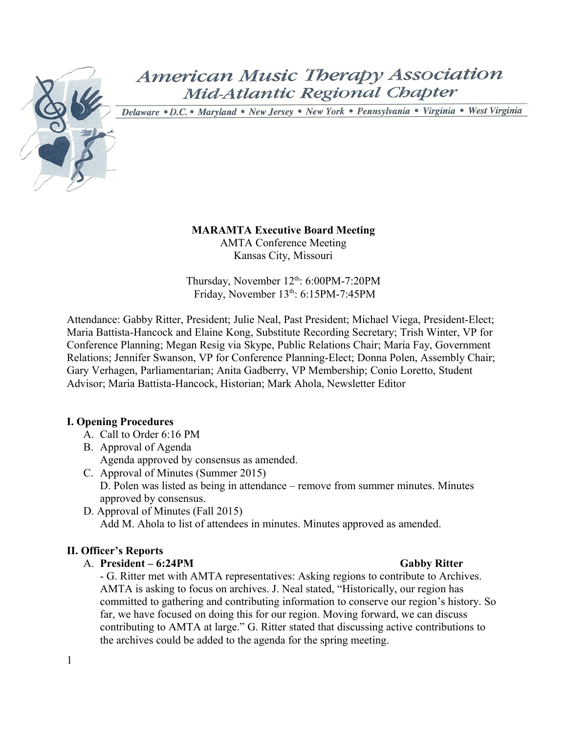

# **American Music Therapy Association** Mid-Atlantic Regional Chapter

Delaware · D.C. • Maryland · New Jersey · New York · Pennsylvania · Virginia · West Virginia

## **MARAMTA Executive Board Meeting** AMTA Conference Meeting

Kansas City, Missouri

Thursday, November  $12<sup>th</sup>$ : 6:00PM-7:20PM Friday, November 13<sup>th</sup>: 6:15PM-7:45PM

Attendance: Gabby Ritter, President; Julie Neal, Past President; Michael Viega, President-Elect; Maria Battista-Hancock and Elaine Kong, Substitute Recording Secretary; Trish Winter, VP for Conference Planning; Megan Resig via Skype, Public Relations Chair; Maria Fay, Government Relations; Jennifer Swanson, VP for Conference Planning-Elect; Donna Polen, Assembly Chair; Gary Verhagen, Parliamentarian; Anita Gadberry, VP Membership; Conio Loretto, Student Advisor; Maria Battista-Hancock, Historian; Mark Ahola, Newsletter Editor

## **I. Opening Procedures**

- A. Call to Order 6:16 PM
- B. Approval of Agenda Agenda approved by consensus as amended.
- C. Approval of Minutes (Summer 2015) D. Polen was listed as being in attendance – remove from summer minutes. Minutes approved by consensus.
- D. Approval of Minutes (Fall 2015) Add M. Ahola to list of attendees in minutes. Minutes approved as amended.

## **II. Officer's Reports**

## A. **President – 6:24PM Gabby Ritter**

- G. Ritter met with AMTA representatives: Asking regions to contribute to Archives. AMTA is asking to focus on archives. J. Neal stated, "Historically, our region has committed to gathering and contributing information to conserve our region's history. So far, we have focused on doing this for our region. Moving forward, we can discuss contributing to AMTA at large." G. Ritter stated that discussing active contributions to the archives could be added to the agenda for the spring meeting.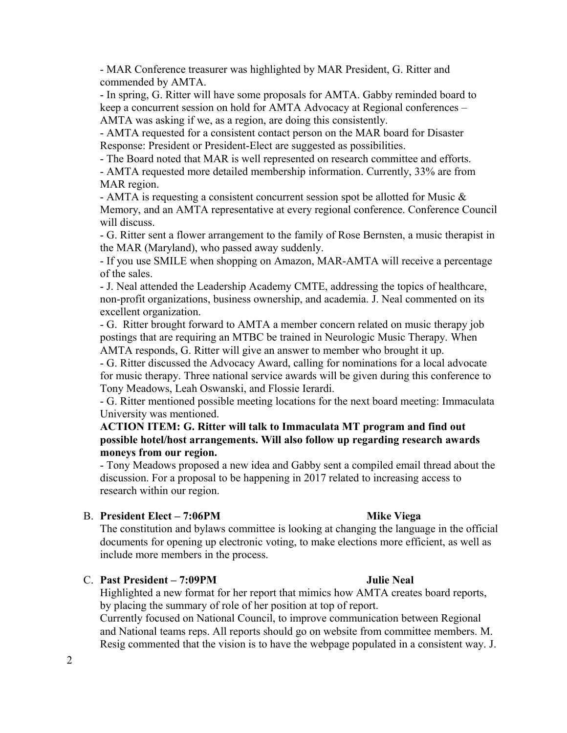- MAR Conference treasurer was highlighted by MAR President, G. Ritter and commended by AMTA.

- In spring, G. Ritter will have some proposals for AMTA. Gabby reminded board to keep a concurrent session on hold for AMTA Advocacy at Regional conferences – AMTA was asking if we, as a region, are doing this consistently.

- AMTA requested for a consistent contact person on the MAR board for Disaster Response: President or President-Elect are suggested as possibilities.

- The Board noted that MAR is well represented on research committee and efforts.

- AMTA requested more detailed membership information. Currently, 33% are from MAR region.

- AMTA is requesting a consistent concurrent session spot be allotted for Music & Memory, and an AMTA representative at every regional conference. Conference Council will discuss.

- G. Ritter sent a flower arrangement to the family of Rose Bernsten, a music therapist in the MAR (Maryland), who passed away suddenly.

- If you use SMILE when shopping on Amazon, MAR-AMTA will receive a percentage of the sales.

- J. Neal attended the Leadership Academy CMTE, addressing the topics of healthcare, non-profit organizations, business ownership, and academia. J. Neal commented on its excellent organization.

- G. Ritter brought forward to AMTA a member concern related on music therapy job postings that are requiring an MTBC be trained in Neurologic Music Therapy. When AMTA responds, G. Ritter will give an answer to member who brought it up.

- G. Ritter discussed the Advocacy Award, calling for nominations for a local advocate for music therapy. Three national service awards will be given during this conference to Tony Meadows, Leah Oswanski, and Flossie Ierardi.

- G. Ritter mentioned possible meeting locations for the next board meeting: Immaculata University was mentioned.

## **ACTION ITEM: G. Ritter will talk to Immaculata MT program and find out possible hotel/host arrangements. Will also follow up regarding research awards moneys from our region.**

- Tony Meadows proposed a new idea and Gabby sent a compiled email thread about the discussion. For a proposal to be happening in 2017 related to increasing access to research within our region.

## B. **President Elect – 7:06PM Mike Viega**

The constitution and bylaws committee is looking at changing the language in the official documents for opening up electronic voting, to make elections more efficient, as well as include more members in the process.

## C. **Past President – 7:09PM Julie Neal**

Highlighted a new format for her report that mimics how AMTA creates board reports, by placing the summary of role of her position at top of report.

Currently focused on National Council, to improve communication between Regional and National teams reps. All reports should go on website from committee members. M. Resig commented that the vision is to have the webpage populated in a consistent way. J.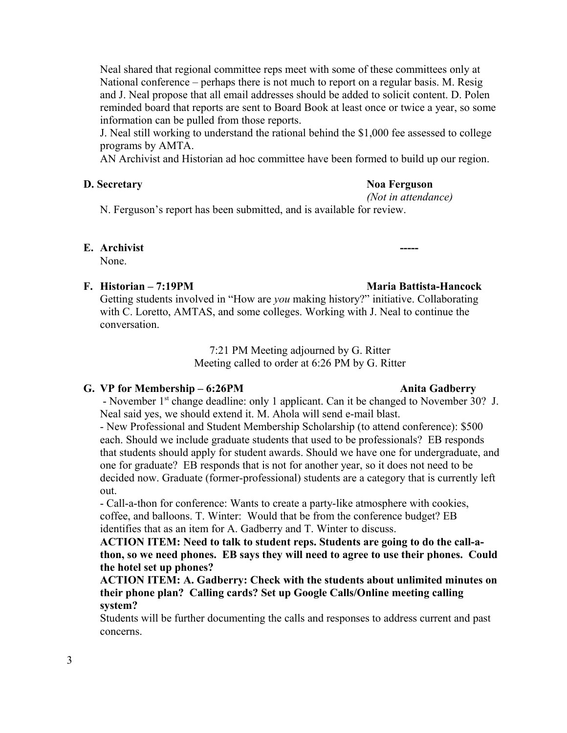Neal shared that regional committee reps meet with some of these committees only at National conference – perhaps there is not much to report on a regular basis. M. Resig and J. Neal propose that all email addresses should be added to solicit content. D. Polen reminded board that reports are sent to Board Book at least once or twice a year, so some information can be pulled from those reports.

J. Neal still working to understand the rational behind the \$1,000 fee assessed to college programs by AMTA.

AN Archivist and Historian ad hoc committee have been formed to build up our region.

### **D. Secretary Noa Ferguson**

*(Not in attendance)*

N. Ferguson's report has been submitted, and is available for review.

## **E.** Archivist

None.

### **F. Historian – 7:19PM Maria Battista-Hancock**

Getting students involved in "How are *you* making history?" initiative. Collaborating with C. Loretto, AMTAS, and some colleges. Working with J. Neal to continue the conversation.

> 7:21 PM Meeting adjourned by G. Ritter Meeting called to order at 6:26 PM by G. Ritter

## **G. VP for Membership – 6:26PM Anita Gadberry**

- November 1<sup>st</sup> change deadline: only 1 applicant. Can it be changed to November 30? J. Neal said yes, we should extend it. M. Ahola will send e-mail blast.

- New Professional and Student Membership Scholarship (to attend conference): \$500 each. Should we include graduate students that used to be professionals? EB responds that students should apply for student awards. Should we have one for undergraduate, and one for graduate? EB responds that is not for another year, so it does not need to be decided now. Graduate (former-professional) students are a category that is currently left out.

- Call-a-thon for conference: Wants to create a party-like atmosphere with cookies, coffee, and balloons. T. Winter: Would that be from the conference budget? EB identifies that as an item for A. Gadberry and T. Winter to discuss.

**ACTION ITEM: Need to talk to student reps. Students are going to do the call-athon, so we need phones. EB says they will need to agree to use their phones. Could the hotel set up phones?** 

**ACTION ITEM: A. Gadberry: Check with the students about unlimited minutes on their phone plan? Calling cards? Set up Google Calls/Online meeting calling system?** 

Students will be further documenting the calls and responses to address current and past concerns.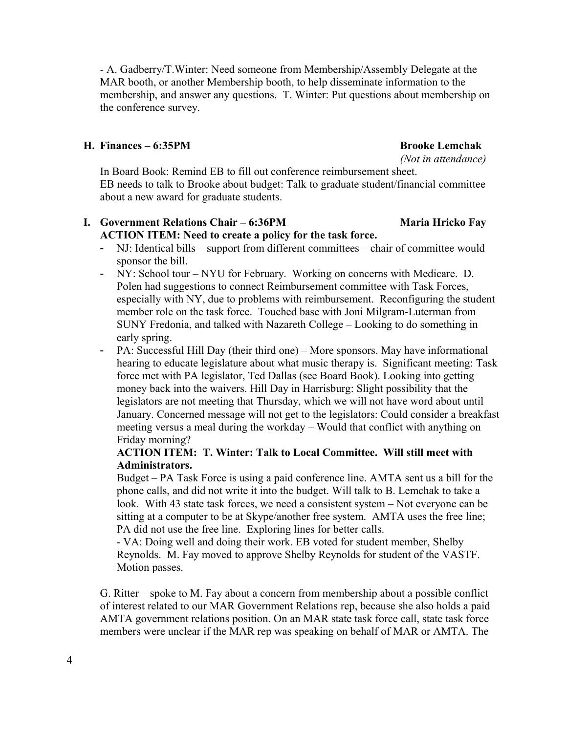- A. Gadberry/T.Winter: Need someone from Membership/Assembly Delegate at the MAR booth, or another Membership booth, to help disseminate information to the membership, and answer any questions. T. Winter: Put questions about membership on the conference survey.

#### **H. Finances – 6:35PM Brooke Lemchak**

*(Not in attendance)*

In Board Book: Remind EB to fill out conference reimbursement sheet. EB needs to talk to Brooke about budget: Talk to graduate student/financial committee about a new award for graduate students.

## **I. Government Relations Chair – 6:36PM Maria Hricko Fay ACTION ITEM: Need to create a policy for the task force.**

- NJ: Identical bills support from different committees chair of committee would sponsor the bill.
- NY: School tour NYU for February. Working on concerns with Medicare. D. Polen had suggestions to connect Reimbursement committee with Task Forces, especially with NY, due to problems with reimbursement. Reconfiguring the student member role on the task force. Touched base with Joni Milgram-Luterman from SUNY Fredonia, and talked with Nazareth College – Looking to do something in early spring.
- PA: Successful Hill Day (their third one) More sponsors. May have informational hearing to educate legislature about what music therapy is. Significant meeting: Task force met with PA legislator, Ted Dallas (see Board Book). Looking into getting money back into the waivers. Hill Day in Harrisburg: Slight possibility that the legislators are not meeting that Thursday, which we will not have word about until January. Concerned message will not get to the legislators: Could consider a breakfast meeting versus a meal during the workday – Would that conflict with anything on Friday morning?

## **ACTION ITEM: T. Winter: Talk to Local Committee. Will still meet with Administrators.**

Budget – PA Task Force is using a paid conference line. AMTA sent us a bill for the phone calls, and did not write it into the budget. Will talk to B. Lemchak to take a look. With 43 state task forces, we need a consistent system – Not everyone can be sitting at a computer to be at Skype/another free system. AMTA uses the free line; PA did not use the free line. Exploring lines for better calls.

- VA: Doing well and doing their work. EB voted for student member, Shelby Reynolds. M. Fay moved to approve Shelby Reynolds for student of the VASTF. Motion passes.

G. Ritter – spoke to M. Fay about a concern from membership about a possible conflict of interest related to our MAR Government Relations rep, because she also holds a paid AMTA government relations position. On an MAR state task force call, state task force members were unclear if the MAR rep was speaking on behalf of MAR or AMTA. The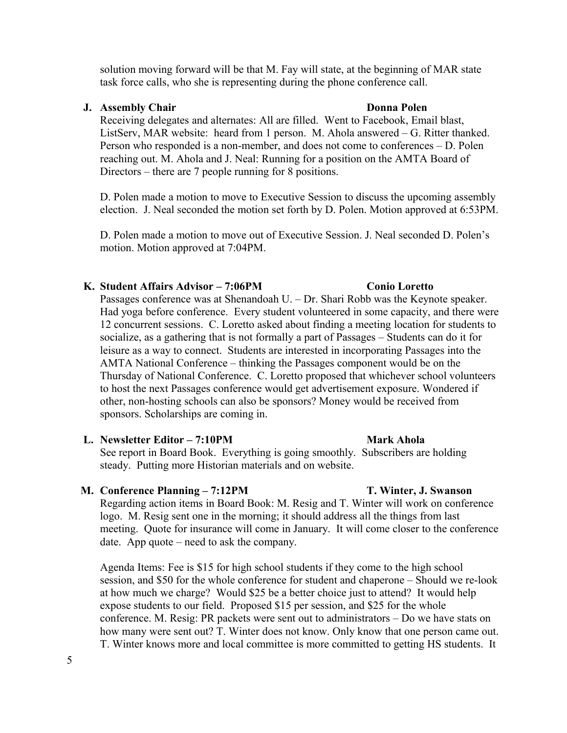solution moving forward will be that M. Fay will state, at the beginning of MAR state task force calls, who she is representing during the phone conference call.

### **J. Assembly Chair Donna Polen**

Receiving delegates and alternates: All are filled. Went to Facebook, Email blast, ListServ, MAR website: heard from 1 person. M. Ahola answered – G. Ritter thanked. Person who responded is a non-member, and does not come to conferences – D. Polen reaching out. M. Ahola and J. Neal: Running for a position on the AMTA Board of Directors – there are 7 people running for 8 positions.

D. Polen made a motion to move to Executive Session to discuss the upcoming assembly election. J. Neal seconded the motion set forth by D. Polen. Motion approved at 6:53PM.

D. Polen made a motion to move out of Executive Session. J. Neal seconded D. Polen's motion. Motion approved at 7:04PM.

#### **K.** Student Affairs Advisor – 7:06PM **Conic Loretto**

Passages conference was at Shenandoah U. – Dr. Shari Robb was the Keynote speaker. Had yoga before conference. Every student volunteered in some capacity, and there were 12 concurrent sessions. C. Loretto asked about finding a meeting location for students to socialize, as a gathering that is not formally a part of Passages – Students can do it for leisure as a way to connect. Students are interested in incorporating Passages into the AMTA National Conference – thinking the Passages component would be on the Thursday of National Conference. C. Loretto proposed that whichever school volunteers to host the next Passages conference would get advertisement exposure. Wondered if other, non-hosting schools can also be sponsors? Money would be received from sponsors. Scholarships are coming in.

#### **L. Newsletter Editor – 7:10PM Mark Ahola**

See report in Board Book. Everything is going smoothly. Subscribers are holding steady. Putting more Historian materials and on website.

#### **M. Conference Planning – 7:12PM T. Winter, J. Swanson**

Regarding action items in Board Book: M. Resig and T. Winter will work on conference logo. M. Resig sent one in the morning; it should address all the things from last meeting. Quote for insurance will come in January. It will come closer to the conference date. App quote – need to ask the company.

Agenda Items: Fee is \$15 for high school students if they come to the high school session, and \$50 for the whole conference for student and chaperone – Should we re-look at how much we charge? Would \$25 be a better choice just to attend? It would help expose students to our field. Proposed \$15 per session, and \$25 for the whole conference. M. Resig: PR packets were sent out to administrators – Do we have stats on how many were sent out? T. Winter does not know. Only know that one person came out. T. Winter knows more and local committee is more committed to getting HS students. It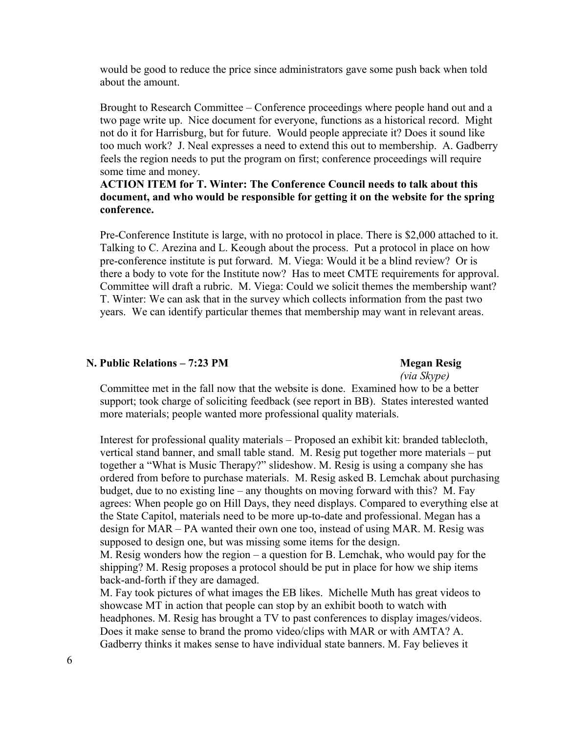would be good to reduce the price since administrators gave some push back when told about the amount.

Brought to Research Committee – Conference proceedings where people hand out and a two page write up. Nice document for everyone, functions as a historical record. Might not do it for Harrisburg, but for future. Would people appreciate it? Does it sound like too much work? J. Neal expresses a need to extend this out to membership. A. Gadberry feels the region needs to put the program on first; conference proceedings will require some time and money.

## **ACTION ITEM for T. Winter: The Conference Council needs to talk about this document, and who would be responsible for getting it on the website for the spring conference.**

Pre-Conference Institute is large, with no protocol in place. There is \$2,000 attached to it. Talking to C. Arezina and L. Keough about the process. Put a protocol in place on how pre-conference institute is put forward. M. Viega: Would it be a blind review? Or is there a body to vote for the Institute now? Has to meet CMTE requirements for approval. Committee will draft a rubric. M. Viega: Could we solicit themes the membership want? T. Winter: We can ask that in the survey which collects information from the past two years. We can identify particular themes that membership may want in relevant areas.

### **N. Public Relations – 7:23 PM Megan Resignation Control Control Control Control Control Control Control Control Control Control Control Control Control Control Control Control Control Control Control Control Control Contr**

*(via Skype)*

Committee met in the fall now that the website is done. Examined how to be a better support; took charge of soliciting feedback (see report in BB). States interested wanted more materials; people wanted more professional quality materials.

Interest for professional quality materials – Proposed an exhibit kit: branded tablecloth, vertical stand banner, and small table stand. M. Resig put together more materials – put together a "What is Music Therapy?" slideshow. M. Resig is using a company she has ordered from before to purchase materials. M. Resig asked B. Lemchak about purchasing budget, due to no existing line – any thoughts on moving forward with this? M. Fay agrees: When people go on Hill Days, they need displays. Compared to everything else at the State Capitol, materials need to be more up-to-date and professional. Megan has a design for MAR – PA wanted their own one too, instead of using MAR. M. Resig was supposed to design one, but was missing some items for the design.

M. Resig wonders how the region – a question for B. Lemchak, who would pay for the shipping? M. Resig proposes a protocol should be put in place for how we ship items back-and-forth if they are damaged.

M. Fay took pictures of what images the EB likes. Michelle Muth has great videos to showcase MT in action that people can stop by an exhibit booth to watch with headphones. M. Resig has brought a TV to past conferences to display images/videos. Does it make sense to brand the promo video/clips with MAR or with AMTA? A. Gadberry thinks it makes sense to have individual state banners. M. Fay believes it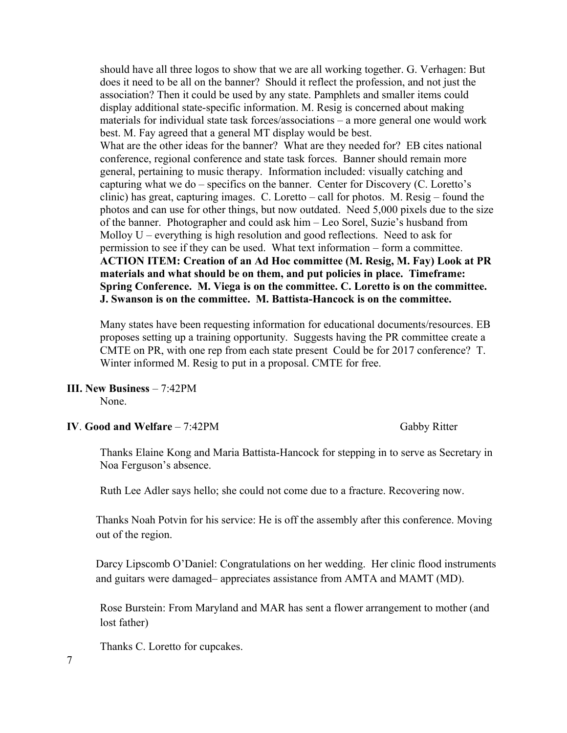should have all three logos to show that we are all working together. G. Verhagen: But does it need to be all on the banner? Should it reflect the profession, and not just the association? Then it could be used by any state. Pamphlets and smaller items could display additional state-specific information. M. Resig is concerned about making materials for individual state task forces/associations – a more general one would work best. M. Fay agreed that a general MT display would be best. What are the other ideas for the banner? What are they needed for? EB cites national conference, regional conference and state task forces. Banner should remain more general, pertaining to music therapy. Information included: visually catching and capturing what we do – specifics on the banner. Center for Discovery (C. Loretto's clinic) has great, capturing images. C. Loretto – call for photos. M. Resig – found the photos and can use for other things, but now outdated. Need 5,000 pixels due to the size of the banner. Photographer and could ask him – Leo Sorel, Suzie's husband from Molloy U – everything is high resolution and good reflections. Need to ask for permission to see if they can be used. What text information – form a committee. **ACTION ITEM: Creation of an Ad Hoc committee (M. Resig, M. Fay) Look at PR materials and what should be on them, and put policies in place. Timeframe: Spring Conference. M. Viega is on the committee. C. Loretto is on the committee. J. Swanson is on the committee. M. Battista-Hancock is on the committee.**

Many states have been requesting information for educational documents/resources. EB proposes setting up a training opportunity. Suggests having the PR committee create a CMTE on PR, with one rep from each state present Could be for 2017 conference? T. Winter informed M. Resig to put in a proposal. CMTE for free.

## **III. New Business** – 7:42PM

None.

### **IV. Good and Welfare** – 7:42PM Gabby Ritter

Thanks Elaine Kong and Maria Battista-Hancock for stepping in to serve as Secretary in Noa Ferguson's absence.

Ruth Lee Adler says hello; she could not come due to a fracture. Recovering now.

Thanks Noah Potvin for his service: He is off the assembly after this conference. Moving out of the region.

Darcy Lipscomb O'Daniel: Congratulations on her wedding. Her clinic flood instruments and guitars were damaged– appreciates assistance from AMTA and MAMT (MD).

Rose Burstein: From Maryland and MAR has sent a flower arrangement to mother (and lost father)

Thanks C. Loretto for cupcakes.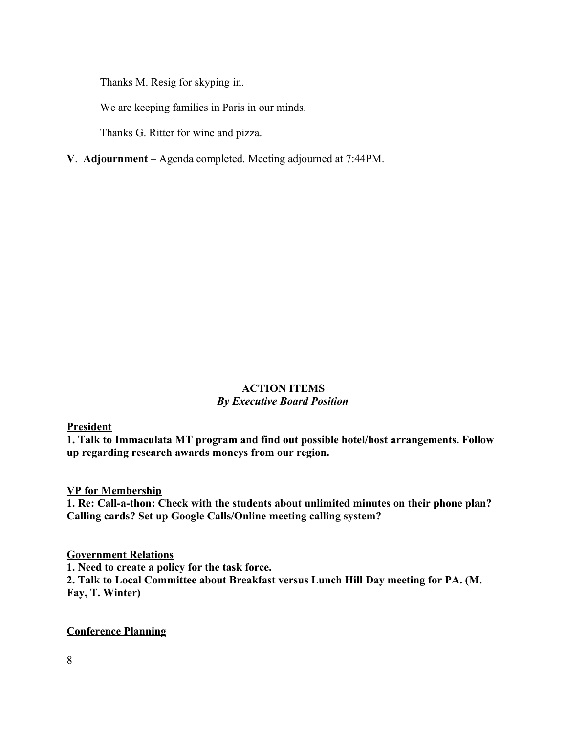Thanks M. Resig for skyping in.

We are keeping families in Paris in our minds.

Thanks G. Ritter for wine and pizza.

### **V**. **Adjournment** – Agenda completed. Meeting adjourned at 7:44PM.

## **ACTION ITEMS** *By Executive Board Position*

### **President**

**1. Talk to Immaculata MT program and find out possible hotel/host arrangements. Follow up regarding research awards moneys from our region.**

### **VP for Membership**

**1. Re: Call-a-thon: Check with the students about unlimited minutes on their phone plan? Calling cards? Set up Google Calls/Online meeting calling system?** 

### **Government Relations**

**1. Need to create a policy for the task force. 2. Talk to Local Committee about Breakfast versus Lunch Hill Day meeting for PA. (M. Fay, T. Winter)**

### **Conference Planning**